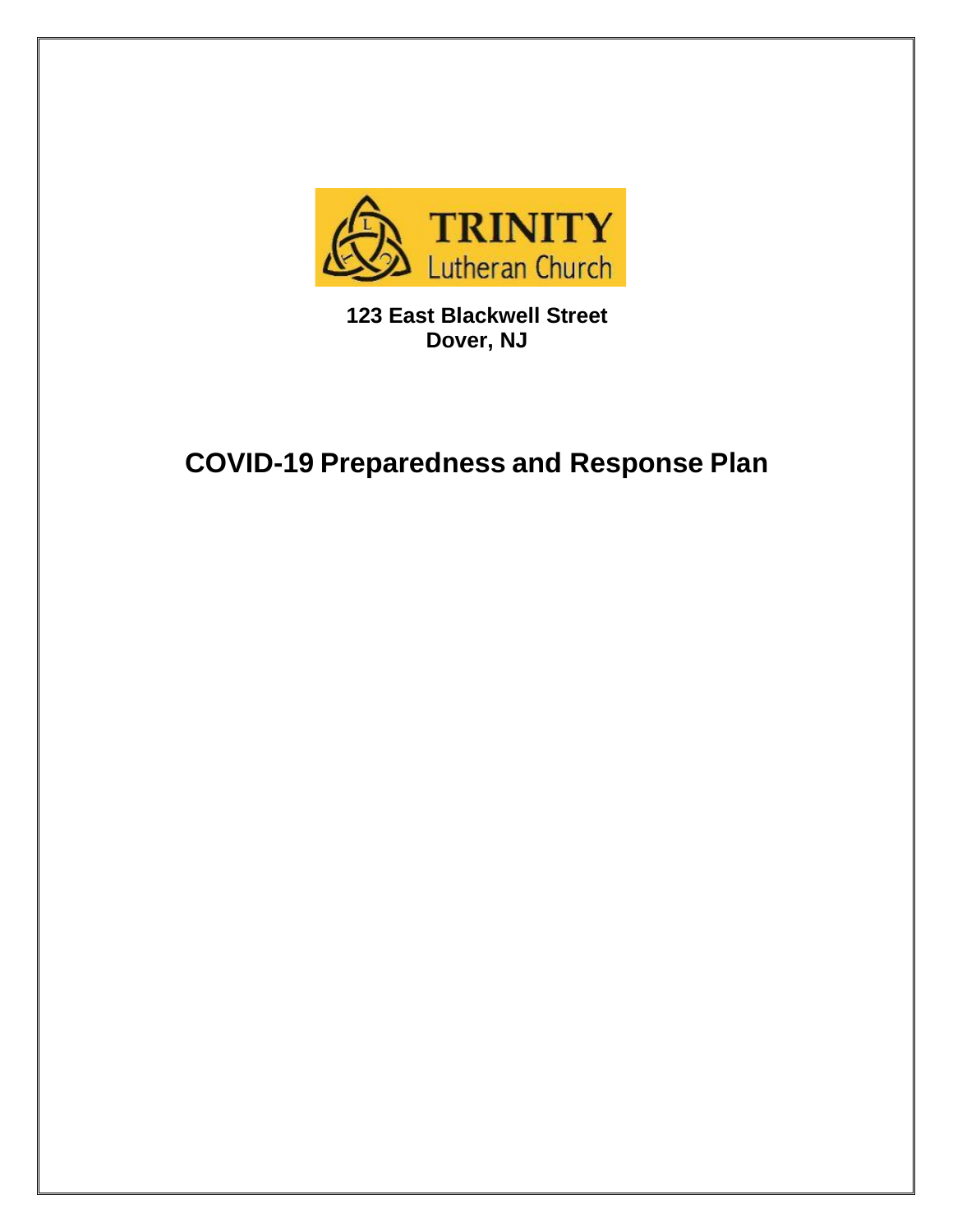

**123 East Blackwell Street Dover, NJ**

# **COVID-19 Preparedness and Response Plan**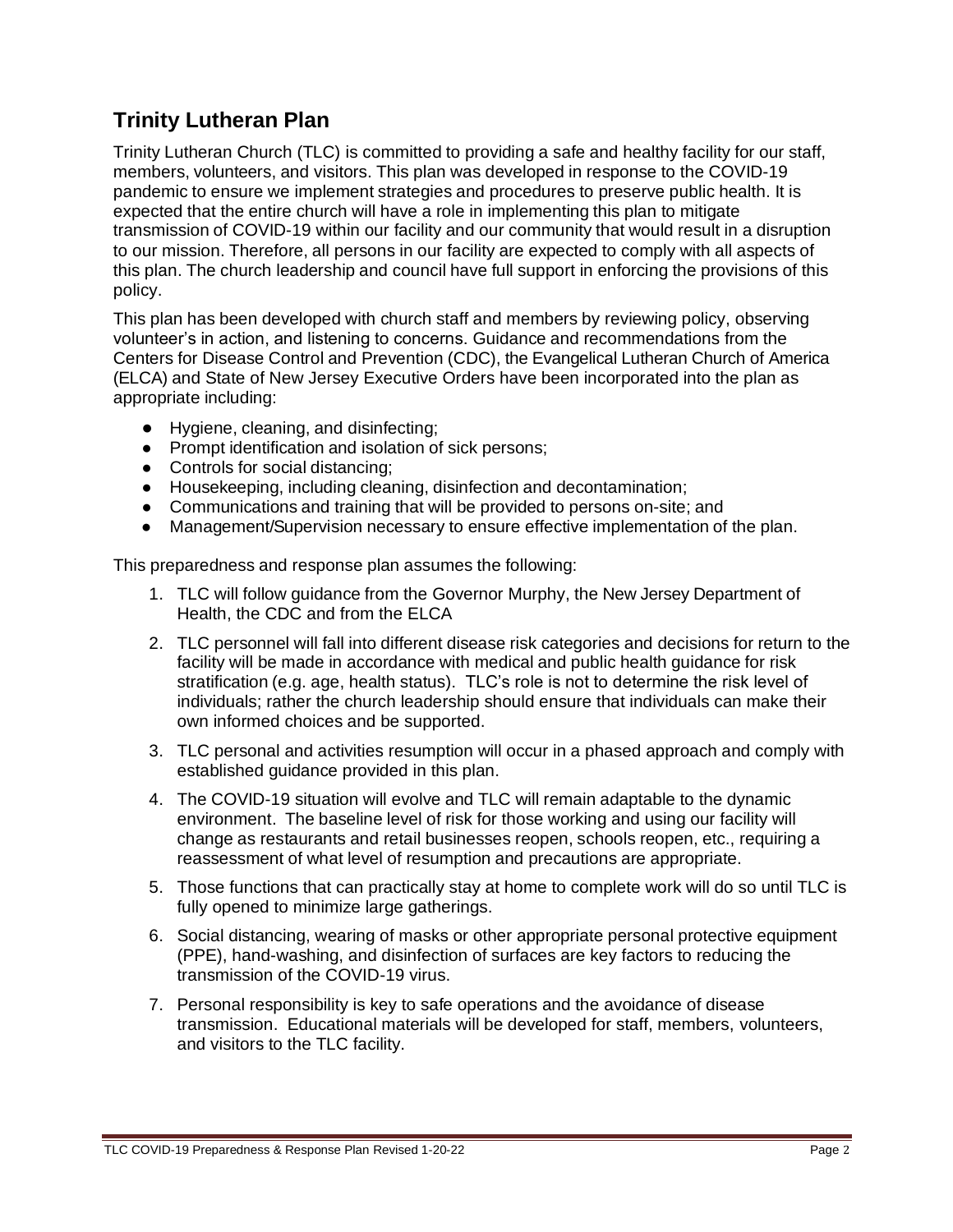# **Trinity Lutheran Plan**

Trinity Lutheran Church (TLC) is committed to providing a safe and healthy facility for our staff, members, volunteers, and visitors. This plan was developed in response to the COVID-19 pandemic to ensure we implement strategies and procedures to preserve public health. It is expected that the entire church will have a role in implementing this plan to mitigate transmission of COVID-19 within our facility and our community that would result in a disruption to our mission. Therefore, all persons in our facility are expected to comply with all aspects of this plan. The church leadership and council have full support in enforcing the provisions of this policy.

This plan has been developed with church staff and members by reviewing policy, observing volunteer's in action, and listening to concerns. Guidance and recommendations from the Centers for Disease Control and Prevention (CDC), the Evangelical Lutheran Church of America (ELCA) and State of New Jersey Executive Orders have been incorporated into the plan as appropriate including:

- Hygiene, cleaning, and disinfecting;
- Prompt identification and isolation of sick persons:
- Controls for social distancing:
- Housekeeping, including cleaning, disinfection and decontamination;
- Communications and training that will be provided to persons on-site; and
- Management/Supervision necessary to ensure effective implementation of the plan.

This preparedness and response plan assumes the following:

- 1. TLC will follow guidance from the Governor Murphy, the New Jersey Department of Health, the CDC and from the ELCA
- 2. TLC personnel will fall into different disease risk categories and decisions for return to the facility will be made in accordance with medical and public health guidance for risk stratification (e.g. age, health status). TLC's role is not to determine the risk level of individuals; rather the church leadership should ensure that individuals can make their own informed choices and be supported.
- 3. TLC personal and activities resumption will occur in a phased approach and comply with established guidance provided in this plan.
- 4. The COVID-19 situation will evolve and TLC will remain adaptable to the dynamic environment. The baseline level of risk for those working and using our facility will change as restaurants and retail businesses reopen, schools reopen, etc., requiring a reassessment of what level of resumption and precautions are appropriate.
- 5. Those functions that can practically stay at home to complete work will do so until TLC is fully opened to minimize large gatherings.
- 6. Social distancing, wearing of masks or other appropriate personal protective equipment (PPE), hand-washing, and disinfection of surfaces are key factors to reducing the transmission of the COVID-19 virus.
- 7. Personal responsibility is key to safe operations and the avoidance of disease transmission. Educational materials will be developed for staff, members, volunteers, and visitors to the TLC facility.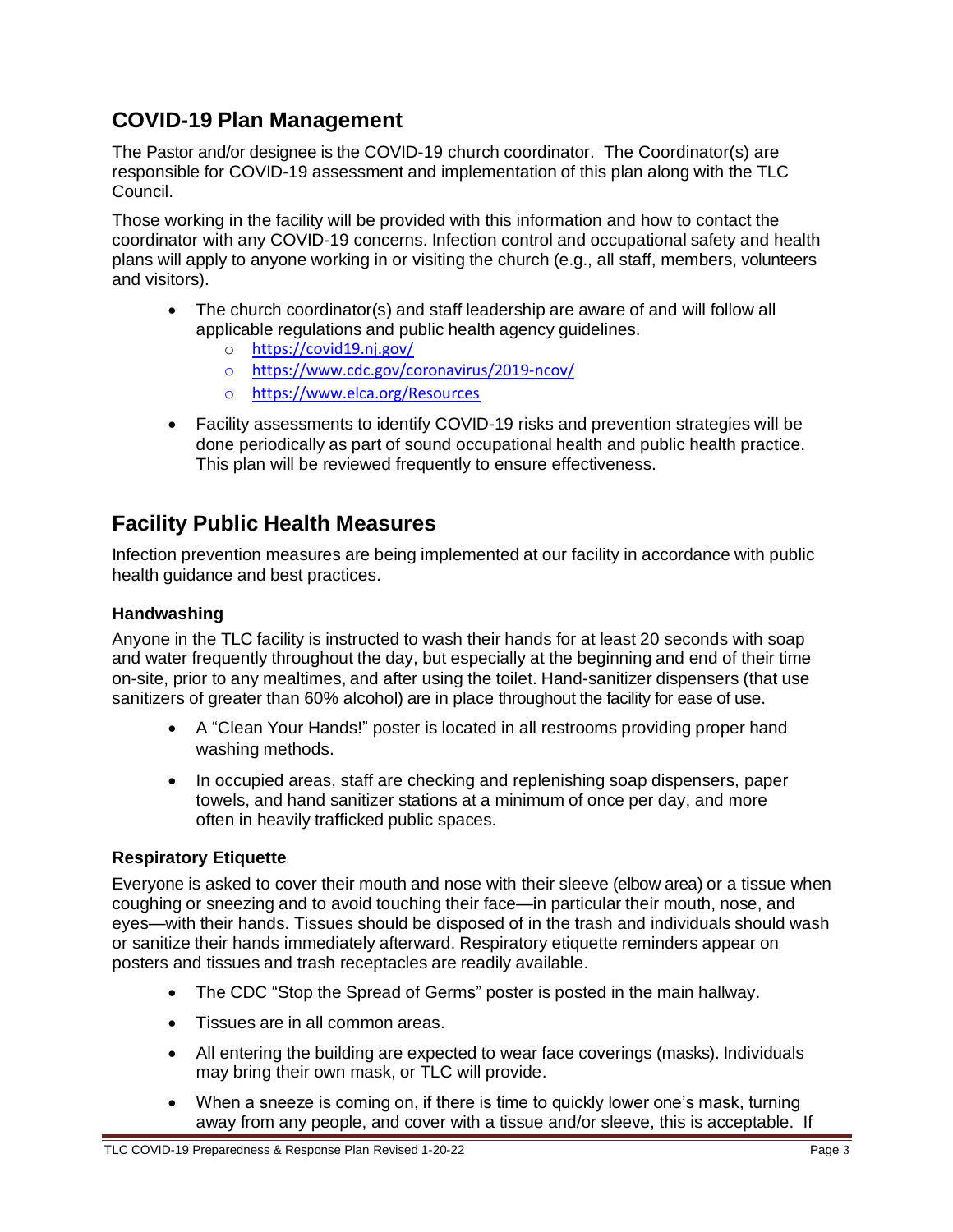# **COVID-19 Plan Management**

The Pastor and/or designee is the COVID-19 church coordinator. The Coordinator(s) are responsible for COVID-19 assessment and implementation of this plan along with the TLC Council.

Those working in the facility will be provided with this information and how to contact the coordinator with any COVID-19 concerns. Infection control and occupational safety and health plans will apply to anyone working in or visiting the church (e.g., all staff, members, volunteers and visitors).

- The church coordinator(s) and staff leadership are aware of and will follow all applicable regulations and public health agency guidelines.
	- o <https://covid19.nj.gov/>
	- o [https://www.cdc.gov/coronavirus/2019-ncov/](https://www.cdc.gov/coronavirus/2019-ncov)
	- o <https://www.elca.org/Resources>
- Facility assessments to identify COVID-19 risks and prevention strategies will be done periodically as part of sound occupational health and public health practice. This plan will be reviewed frequently to ensure effectiveness.

# **Facility Public Health Measures**

Infection prevention measures are being implemented at our facility in accordance with public health guidance and best practices.

### **Handwashing**

Anyone in the TLC facility is instructed to wash their hands for at least 20 seconds with soap and water frequently throughout the day, but especially at the beginning and end of their time on-site, prior to any mealtimes, and after using the toilet. Hand-sanitizer dispensers (that use sanitizers of greater than 60% alcohol) are in place throughout the facility for ease of use.

- A "Clean Your Hands!" [poster](https://www.health.state.mn.us/people/handhygiene/how/clean8.html) is located in all restrooms providing proper hand washing methods.
- In occupied areas, staff are checking and replenishing soap dispensers, paper towels, and hand sanitizer stations at a minimum of once per day, and more often in heavily trafficked public spaces.

# **Respiratory Etiquette**

Everyone is asked to cover their mouth and nose with their sleeve [\(elbow area\) or](https://www.cdc.gov/coronavirus/2019-ncov/prevent-getting-sick/prevention.html) a tissue when coughing or sneezing and to avoid touching their face—in particular their mouth, nose, and eyes—with their hands. Tissues should be disposed of in the trash and individuals should wash or sanitize their hands immediately afterward. Respiratory etiquette reminders appear on posters and tissues and trash receptacles are readily available.

- The CDC "Stop the Spread of [Germs"](https://www.cdc.gov/coronavirus/2019-ncov/downloads/stop-the-spread-of-germs.pdf) poster is posted in the main hallway.
- Tissues are in all common areas.
- All entering the building are expected to wear face coverings (masks). Individuals may bring their own mask, or TLC will provide.
- When a sneeze is coming on, if there is time to quickly lower one's mask, turning away from any people, and cover with a tissue and/or sleeve, this is acceptable. If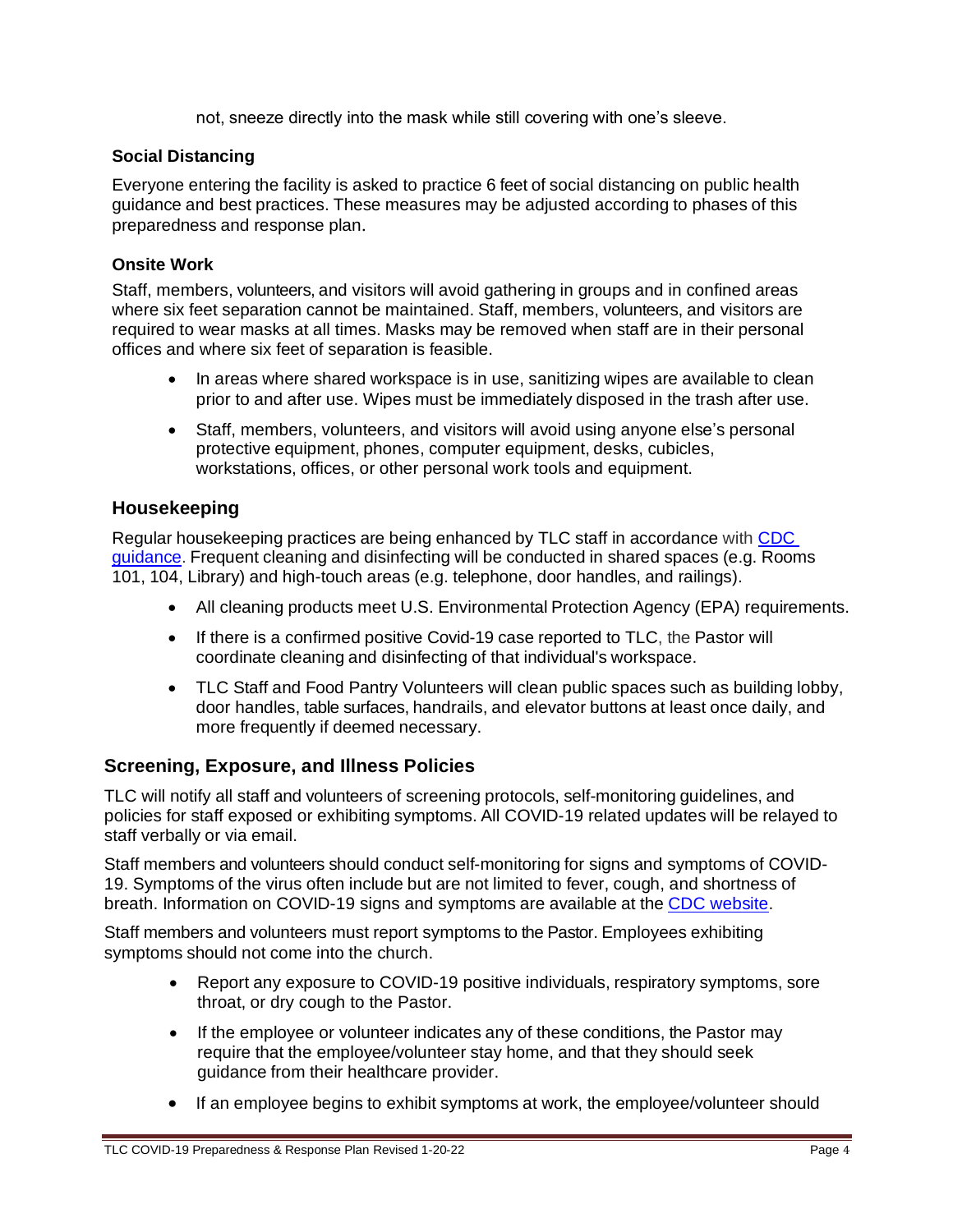not, sneeze directly into the mask while still covering with one's sleeve.

#### **Social Distancing**

Everyone entering the facility is asked to practice 6 feet of social [distancing](https://www.health.state.mn.us/diseases/coronavirus/businesses.html) on public health guidance and best practices. These measures may be adjusted according to phases of this preparedness and response plan.

#### **Onsite Work**

Staff, members, volunteers, and visitors will avoid gathering in groups and in confined areas where six feet separation cannot be maintained. Staff, members, volunteers, and visitors are required to wear masks at all times. Masks may be removed when staff are in their personal offices and where six feet of separation is feasible.

- In areas where shared workspace is in use, sanitizing wipes are available to clean prior to and after use. Wipes must be immediately disposed in the trash after use.
- Staff, members, volunteers, and visitors will avoid using anyone else's personal protective equipment, phones, computer equipment, desks, cubicles, workstations, offices, or other personal work tools and equipment.

#### **Housekeeping**

Regular housekeeping practices are being enhanced by TLC staff in accordance wit[h CDC](https://www.cdc.gov/coronavirus/2019-ncov/community/organizations/cleaning-disinfection.html) [guidance.](https://www.cdc.gov/coronavirus/2019-ncov/community/organizations/cleaning-disinfection.html) Frequent cleaning and disinfecting will be conducted in shared spaces (e.g. Rooms 101, 104, Library) and high-touch areas (e.g. telephone, door handles, and railings).

- All cleaning products meet U.S. Environmental Protection Agency (EPA) requirements.
- If there is a confirmed positive Covid-19 case reported to TL[C,](https://dehs.umn.edu/) the Pastor will coordinate cleaning and disinfecting of that individual's workspace.
- TLC Staff and Food Pantry Volunteers will clean public spaces such as building lobby, door handles, table surfaces, handrails, and elevator buttons at least once daily, and more frequently if deemed necessary.

#### **Screening, Exposure, and Illness Policies**

TLC will notify all staff and volunteers of screening protocols, self-monitoring guidelines, and policies for staff exposed or exhibiting symptoms. All COVID-19 related updates will be relayed to staff verbally or via email.

Staff members and volunteers should conduct self-monitoring for signs and symptoms of COVID-19. Symptoms of the virus often include but are not limited to fever, cough, and shortness of breath. Information on COVID-19 signs and symptoms are available at the CDC [website.](https://www.cdc.gov/coronavirus/2019-ncov/communication/downloadable-videos.html)

Staff members and volunteers must report symptoms to the Pastor. Employees exhibiting symptoms should not come into the church.

- Report any exposure to COVID-19 positive individuals, respiratory symptoms, sore throat, or dry cough to the Pastor.
- If the employee or volunteer indicates any of these conditions, the Pastor may require that the employee/volunteer stay home, and that they should seek guidance from their healthcare provider.
- If an employee begins to exhibit symptoms at work, the employee/volunteer should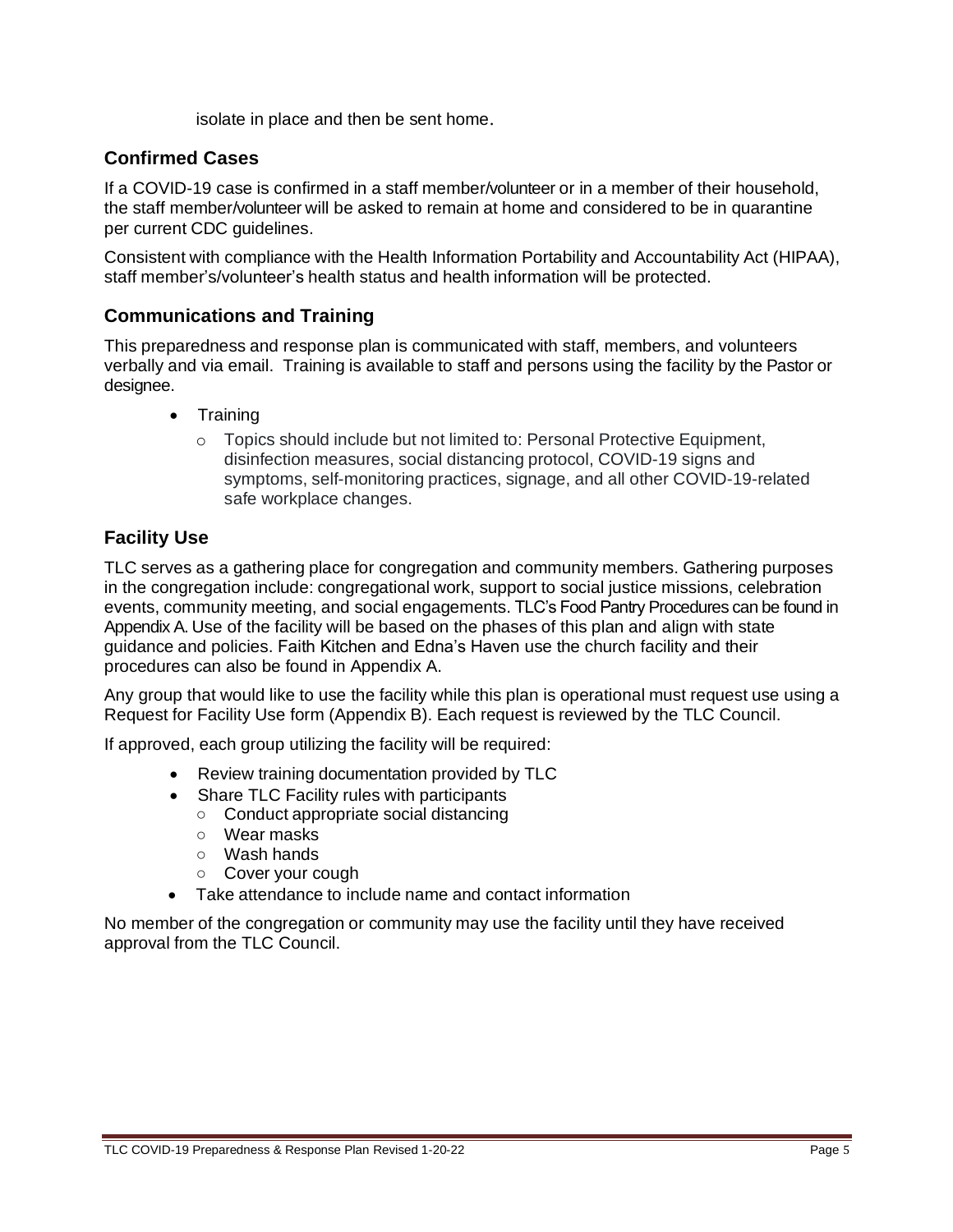isolate in place and then be sent home.

# **Confirmed Cases**

If a COVID-19 case is confirmed in a staff member/volunteer or in a member of their household, the staff member/volunteer will be asked to remain at home and considered to be in quarantine per current CDC guidelines.

Consistent with compliance with the Health Information Portability and Accountability Act (HIPAA), staff member's/volunteer's health status and health information will be protected.

# **Communications and Training**

This preparedness and response plan is communicated with staff, members, and volunteers verbally and via email. Training is available to staff and persons using the facility by the Pastor or designee.

- Training
	- $\circ$  Topics should include but not limited to: Personal Protective Equipment, disinfection measures, social distancing protocol, COVID-19 signs and symptoms, self-monitoring practices, signage, and all other COVID-19-related safe workplace changes.

# **Facility Use**

TLC serves as a gathering place for congregation and community members. Gathering purposes in the congregation include: congregational work, support to social justice missions, celebration events, community meeting, and social engagements. TLC's Food Pantry Procedures can be found in Appendix A. Use of the facility will be based on the phases of this plan and align with state guidance and policies. Faith Kitchen and Edna's Haven use the church facility and their procedures can also be found in Appendix A.

Any group that would like to use the facility while this plan is operational must request use using a Request for Facility Use form (Appendix B). Each request is reviewed by the TLC Council.

If approved, each group utilizing the facility will be required:

- Review training documentation provided by TLC
- Share TLC Facility rules with participants
	- Conduct appropriate social distancing
	- Wear masks
	- Wash hands
	- Cover your cough
- Take attendance to include name and contact information

No member of the congregation or community may use the facility until they have received approval from the TLC Council.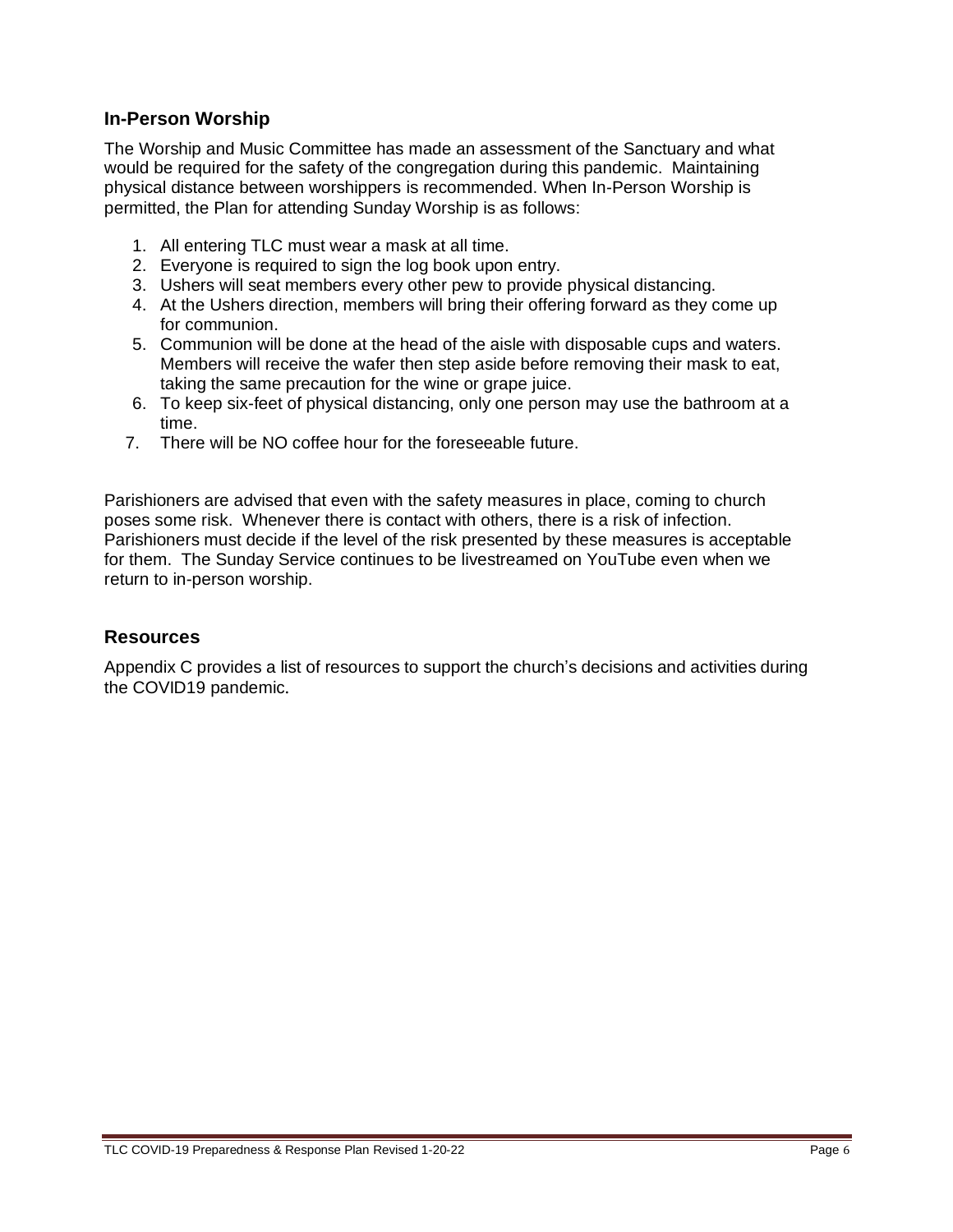# **In-Person Worship**

The Worship and Music Committee has made an assessment of the Sanctuary and what would be required for the safety of the congregation during this pandemic. Maintaining physical distance between worshippers is recommended. When In-Person Worship is permitted, the Plan for attending Sunday Worship is as follows:

- 1. All entering TLC must wear a mask at all time.
- 2. Everyone is required to sign the log book upon entry.
- 3. Ushers will seat members every other pew to provide physical distancing.
- 4. At the Ushers direction, members will bring their offering forward as they come up for communion.
- 5. Communion will be done at the head of the aisle with disposable cups and waters. Members will receive the wafer then step aside before removing their mask to eat, taking the same precaution for the wine or grape juice.
- 6. To keep six-feet of physical distancing, only one person may use the bathroom at a time.
- 7. There will be NO coffee hour for the foreseeable future.

Parishioners are advised that even with the safety measures in place, coming to church poses some risk. Whenever there is contact with others, there is a risk of infection. Parishioners must decide if the level of the risk presented by these measures is acceptable for them. The Sunday Service continues to be livestreamed on YouTube even when we return to in-person worship.

#### **Resources**

Appendix C provides a list of resources to support the church's decisions and activities during the COVID19 pandemic.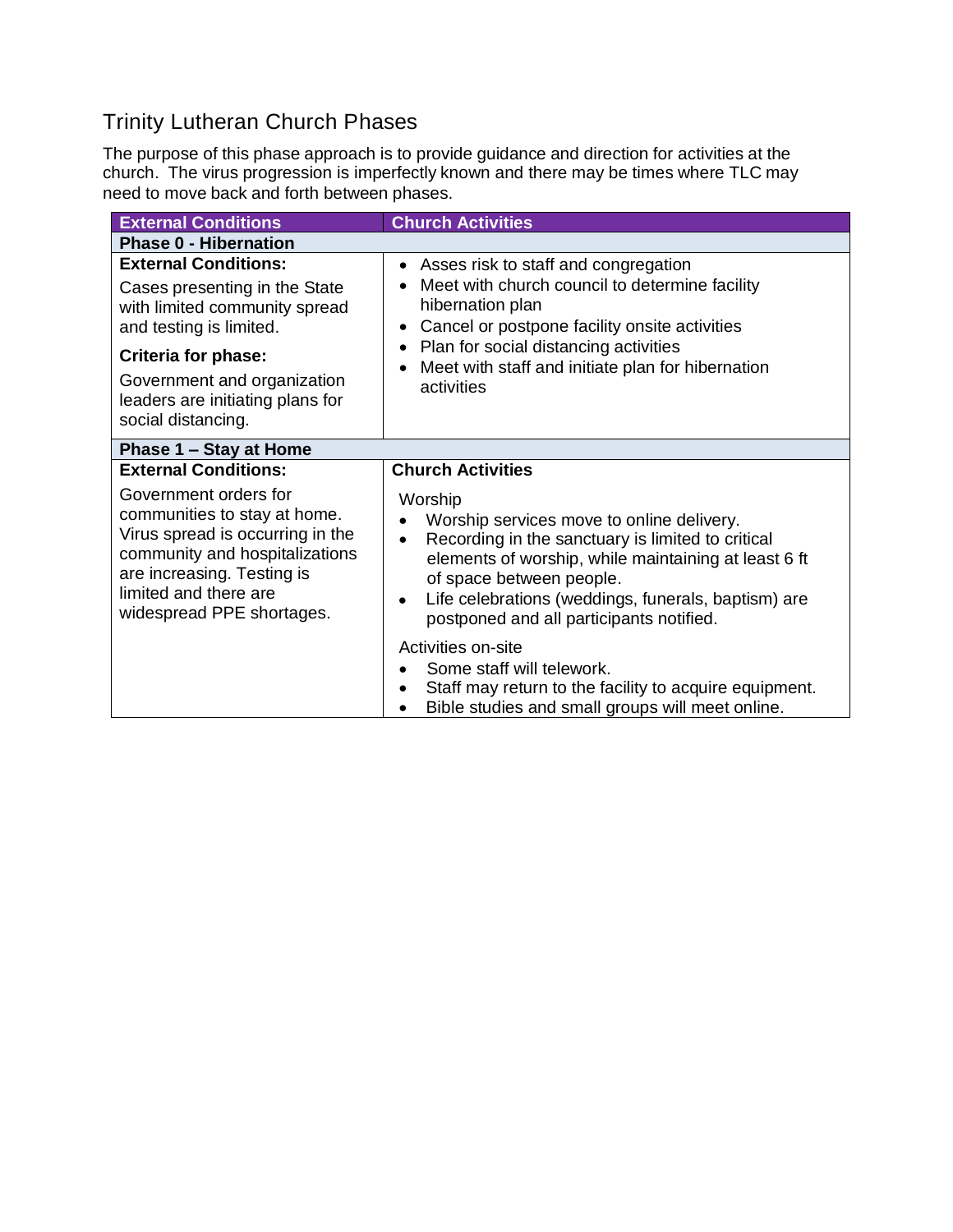# Trinity Lutheran Church Phases

The purpose of this phase approach is to provide guidance and direction for activities at the church. The virus progression is imperfectly known and there may be times where TLC may need to move back and forth between phases.

| <b>External Conditions</b>                                                                                                                                                                                                                      | <b>Church Activities</b>                                                                                                                                                                                                                                                                                                                |
|-------------------------------------------------------------------------------------------------------------------------------------------------------------------------------------------------------------------------------------------------|-----------------------------------------------------------------------------------------------------------------------------------------------------------------------------------------------------------------------------------------------------------------------------------------------------------------------------------------|
| <b>Phase 0 - Hibernation</b>                                                                                                                                                                                                                    |                                                                                                                                                                                                                                                                                                                                         |
| <b>External Conditions:</b><br>Cases presenting in the State<br>with limited community spread<br>and testing is limited.<br><b>Criteria for phase:</b><br>Government and organization<br>leaders are initiating plans for<br>social distancing. | Asses risk to staff and congregation<br>$\bullet$<br>Meet with church council to determine facility<br>hibernation plan<br>Cancel or postpone facility onsite activities<br>$\bullet$<br>Plan for social distancing activities<br>$\bullet$<br>Meet with staff and initiate plan for hibernation<br>$\bullet$<br>activities             |
| Phase 1 - Stay at Home                                                                                                                                                                                                                          |                                                                                                                                                                                                                                                                                                                                         |
| <b>External Conditions:</b>                                                                                                                                                                                                                     | <b>Church Activities</b>                                                                                                                                                                                                                                                                                                                |
| Government orders for<br>communities to stay at home.<br>Virus spread is occurring in the<br>community and hospitalizations<br>are increasing. Testing is<br>limited and there are<br>widespread PPE shortages.                                 | Worship<br>Worship services move to online delivery.<br>$\bullet$<br>Recording in the sanctuary is limited to critical<br>$\bullet$<br>elements of worship, while maintaining at least 6 ft<br>of space between people.<br>Life celebrations (weddings, funerals, baptism) are<br>$\bullet$<br>postponed and all participants notified. |
|                                                                                                                                                                                                                                                 | Activities on-site<br>Some staff will telework.<br>Staff may return to the facility to acquire equipment.<br>$\bullet$<br>Bible studies and small groups will meet online.                                                                                                                                                              |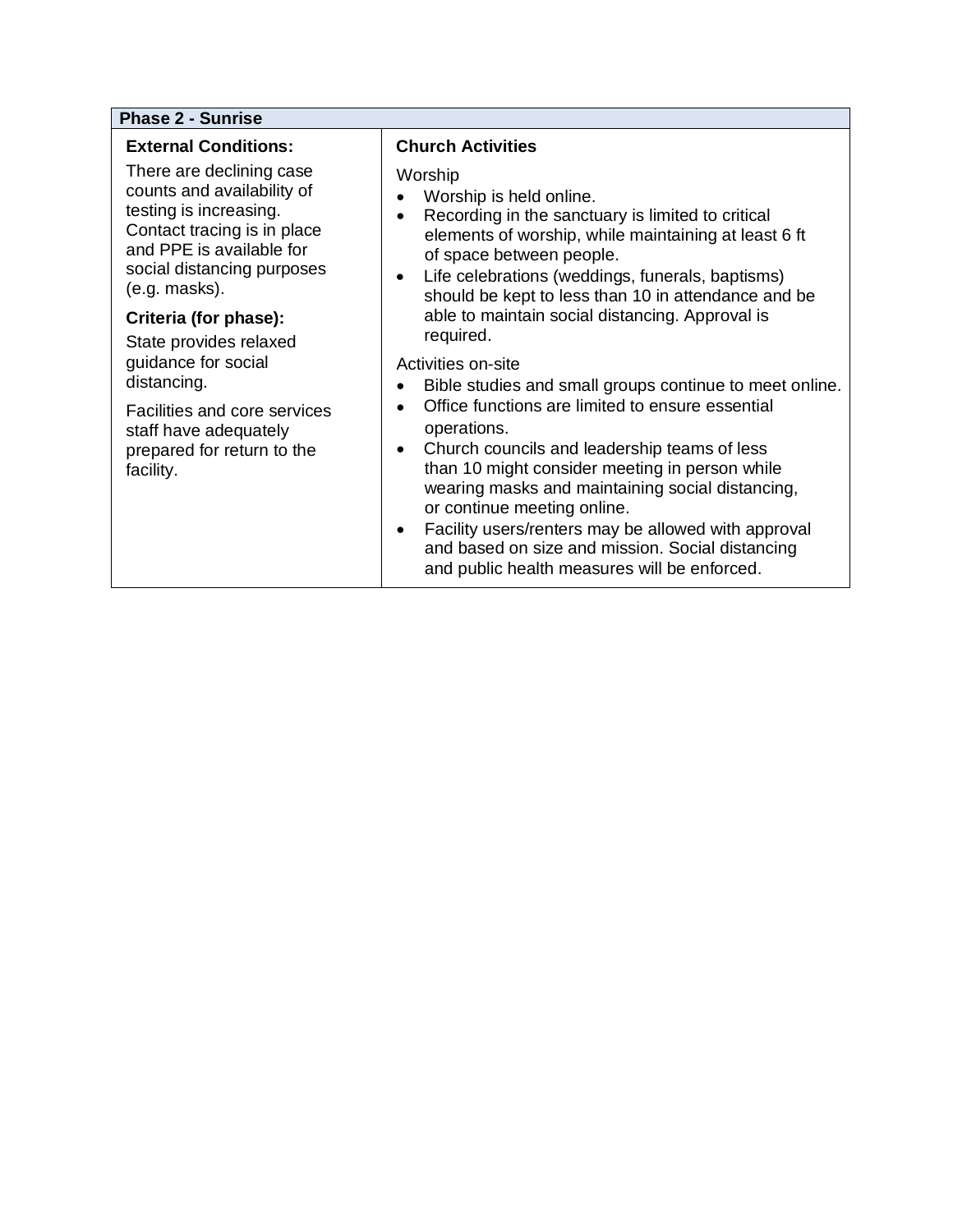#### **Phase 2 - Sunrise**

#### **External Conditions:**

There are declining case counts and availability of testing is increasing. Contact tracing is in place and PPE is available for social distancing purposes (e.g. masks).

#### **Criteria (for phase):**

State provides relaxed guidance for social distancing.

Facilities and core services staff have adequately prepared for return to the facility.

#### **Church Activities**

**Worship** 

- Worship is held online.
- Recording in the sanctuary is limited to critical elements of worship, while maintaining at least 6 ft of space between people.
- Life celebrations (weddings, funerals, baptisms) should be kept to less than 10 in attendance and be able to maintain social distancing. Approval is required.

Activities on-site

- Bible studies and small groups continue to meet online.
- Office functions are limited to ensure essential operations.
- Church councils and leadership teams of less than 10 might consider meeting in person while wearing masks and maintaining social distancing, or continue meeting online.
- Facility users/renters may be allowed with approval and based on size and mission. Social distancing and public health measures will be enforced.